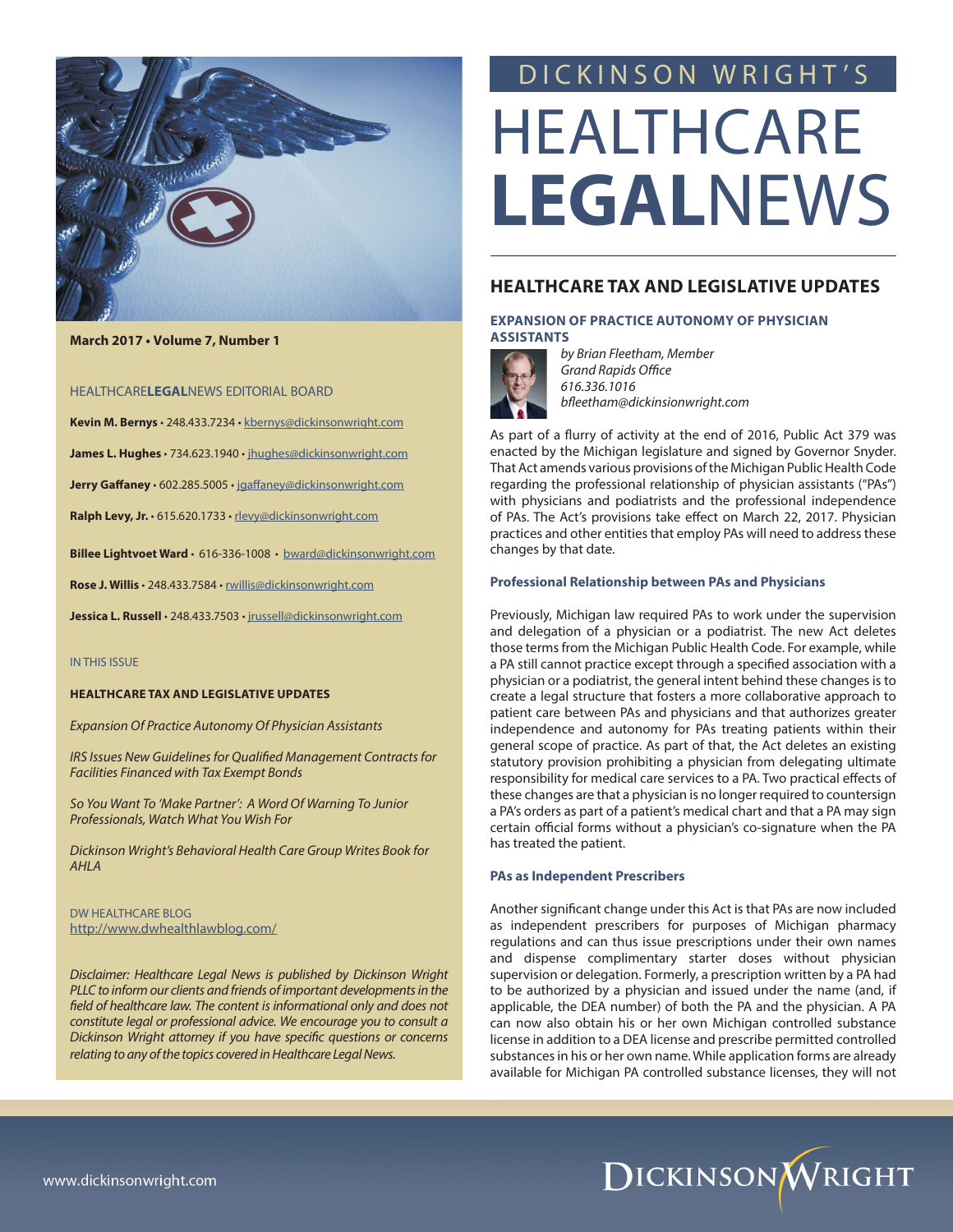

**March 2017 • Volume 7, Number 1**

HEALTHCARE**LEGAL**NEWS EDITORIAL BOARD

**Kevin M. Bernys** • 248.433.7234 • kbernys@dickinsonwright.com

**James L. Hughes** • 734.623.1940 • jhughes@dickinsonwright.com

**Jerry Gaffaney** • 602.285.5005 • [jgaffaney@dickinsonwright.com](http://www.dickinson-wright.com/our-people/jerry-gaffaney)

**Ralph Levy, Jr.** • 615.620.1733 • rlevy@dickinsonwright.com

**Billee Lightvoet Ward** • 616-336-1008 • [bward@dickinsonwright.com](mailto:bward%40dickinsonwright.com?subject=)

**Rose J. Willis** • 248.433.7584 • [rwillis@dickinsonwright.com](mailto:rwillis%40dickinsonwright.com?subject=)

**Jessica L. Russell** • 248.433.7503 • [jrussell@dickinsonwright.com](mailto:jrussell%40dickinsonwright.com?subject=)

#### IN THIS ISSUE

### **HEALTHCARE TAX AND LEGISLATIVE UPDATES**

*Expansion Of Practice Autonomy Of Physician Assistants*

*IRS Issues New Guidelines for Qualified Management Contracts for Facilities Financed with Tax Exempt Bonds*

*So You Want To 'Make Partner': A Word Of Warning To Junior Professionals, Watch What You Wish For*

*Dickinson Wright's Behavioral Health Care Group Writes Book for AHLA*

DW HEALTHCARE BLOG <http://www.dwhealthlawblog.com/>

*Disclaimer: Healthcare Legal News is published by Dickinson Wright PLLC to inform our clients and friends of important developments in the field of healthcare law. The content is informational only and does not constitute legal or professional advice. We encourage you to consult a Dickinson Wright attorney if you have specific questions or concerns relating to any of the topics covered in Healthcare Legal News.*

## HEALTHCARE **LEGAL**NEWS DICKINSON WRIGHT'S

## **HEALTHCARE TAX AND LEGISLATIVE UPDATES**

### **EXPANSION OF PRACTICE AUTONOMY OF PHYSICIAN ASSISTANTS**



*by Brian Fleetham, Member Grand Rapids Office 616.336.1016 bfleetham@dickinsionwright.com*

As part of a flurry of activity at the end of 2016, Public Act 379 was enacted by the Michigan legislature and signed by Governor Snyder. That Act amends various provisions of the Michigan Public Health Code regarding the professional relationship of physician assistants ("PAs") with physicians and podiatrists and the professional independence of PAs. The Act's provisions take effect on March 22, 2017. Physician practices and other entities that employ PAs will need to address these changes by that date.

#### **Professional Relationship between PAs and Physicians**

Previously, Michigan law required PAs to work under the supervision and delegation of a physician or a podiatrist. The new Act deletes those terms from the Michigan Public Health Code. For example, while a PA still cannot practice except through a specified association with a physician or a podiatrist, the general intent behind these changes is to create a legal structure that fosters a more collaborative approach to patient care between PAs and physicians and that authorizes greater independence and autonomy for PAs treating patients within their general scope of practice. As part of that, the Act deletes an existing statutory provision prohibiting a physician from delegating ultimate responsibility for medical care services to a PA. Two practical effects of these changes are that a physician is no longer required to countersign a PA's orders as part of a patient's medical chart and that a PA may sign certain official forms without a physician's co-signature when the PA has treated the patient.

#### **PAs as Independent Prescribers**

Another significant change under this Act is that PAs are now included as independent prescribers for purposes of Michigan pharmacy regulations and can thus issue prescriptions under their own names and dispense complimentary starter doses without physician supervision or delegation. Formerly, a prescription written by a PA had to be authorized by a physician and issued under the name (and, if applicable, the DEA number) of both the PA and the physician. A PA can now also obtain his or her own Michigan controlled substance license in addition to a DEA license and prescribe permitted controlled substances in his or her own name. While application forms are already available for Michigan PA controlled substance licenses, they will not

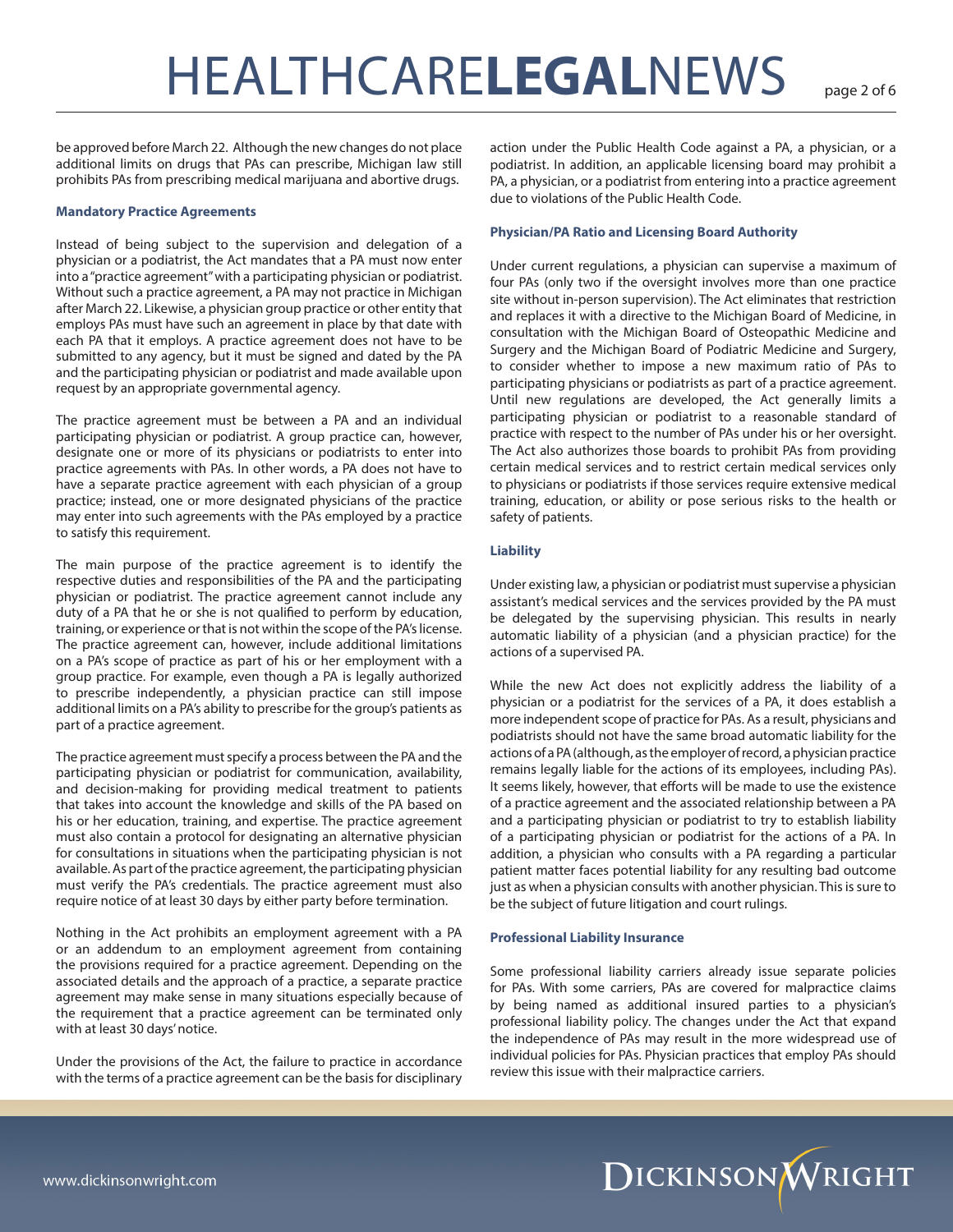# HEALTHCARE**LEGAL**NEWS page 2 of 6

be approved before March 22. Although the new changes do not place additional limits on drugs that PAs can prescribe, Michigan law still prohibits PAs from prescribing medical marijuana and abortive drugs.

#### **Mandatory Practice Agreements**

Instead of being subject to the supervision and delegation of a physician or a podiatrist, the Act mandates that a PA must now enter into a "practice agreement" with a participating physician or podiatrist. Without such a practice agreement, a PA may not practice in Michigan after March 22. Likewise, a physician group practice or other entity that employs PAs must have such an agreement in place by that date with each PA that it employs. A practice agreement does not have to be submitted to any agency, but it must be signed and dated by the PA and the participating physician or podiatrist and made available upon request by an appropriate governmental agency.

The practice agreement must be between a PA and an individual participating physician or podiatrist. A group practice can, however, designate one or more of its physicians or podiatrists to enter into practice agreements with PAs. In other words, a PA does not have to have a separate practice agreement with each physician of a group practice; instead, one or more designated physicians of the practice may enter into such agreements with the PAs employed by a practice to satisfy this requirement.

The main purpose of the practice agreement is to identify the respective duties and responsibilities of the PA and the participating physician or podiatrist. The practice agreement cannot include any duty of a PA that he or she is not qualified to perform by education, training, or experience or that is not within the scope of the PA's license. The practice agreement can, however, include additional limitations on a PA's scope of practice as part of his or her employment with a group practice. For example, even though a PA is legally authorized to prescribe independently, a physician practice can still impose additional limits on a PA's ability to prescribe for the group's patients as part of a practice agreement.

The practice agreement must specify a process between the PA and the participating physician or podiatrist for communication, availability, and decision-making for providing medical treatment to patients that takes into account the knowledge and skills of the PA based on his or her education, training, and expertise. The practice agreement must also contain a protocol for designating an alternative physician for consultations in situations when the participating physician is not available. As part of the practice agreement, the participating physician must verify the PA's credentials. The practice agreement must also require notice of at least 30 days by either party before termination.

Nothing in the Act prohibits an employment agreement with a PA or an addendum to an employment agreement from containing the provisions required for a practice agreement. Depending on the associated details and the approach of a practice, a separate practice agreement may make sense in many situations especially because of the requirement that a practice agreement can be terminated only with at least 30 days' notice.

Under the provisions of the Act, the failure to practice in accordance with the terms of a practice agreement can be the basis for disciplinary action under the Public Health Code against a PA, a physician, or a podiatrist. In addition, an applicable licensing board may prohibit a PA, a physician, or a podiatrist from entering into a practice agreement due to violations of the Public Health Code.

## **Physician/PA Ratio and Licensing Board Authority**

Under current regulations, a physician can supervise a maximum of four PAs (only two if the oversight involves more than one practice site without in-person supervision). The Act eliminates that restriction and replaces it with a directive to the Michigan Board of Medicine, in consultation with the Michigan Board of Osteopathic Medicine and Surgery and the Michigan Board of Podiatric Medicine and Surgery, to consider whether to impose a new maximum ratio of PAs to participating physicians or podiatrists as part of a practice agreement. Until new regulations are developed, the Act generally limits a participating physician or podiatrist to a reasonable standard of practice with respect to the number of PAs under his or her oversight. The Act also authorizes those boards to prohibit PAs from providing certain medical services and to restrict certain medical services only to physicians or podiatrists if those services require extensive medical training, education, or ability or pose serious risks to the health or safety of patients.

## **Liability**

Under existing law, a physician or podiatrist must supervise a physician assistant's medical services and the services provided by the PA must be delegated by the supervising physician. This results in nearly automatic liability of a physician (and a physician practice) for the actions of a supervised PA.

While the new Act does not explicitly address the liability of a physician or a podiatrist for the services of a PA, it does establish a more independent scope of practice for PAs. As a result, physicians and podiatrists should not have the same broad automatic liability for the actions of a PA (although, as the employer of record, a physician practice remains legally liable for the actions of its employees, including PAs). It seems likely, however, that efforts will be made to use the existence of a practice agreement and the associated relationship between a PA and a participating physician or podiatrist to try to establish liability of a participating physician or podiatrist for the actions of a PA. In addition, a physician who consults with a PA regarding a particular patient matter faces potential liability for any resulting bad outcome just as when a physician consults with another physician. This is sure to be the subject of future litigation and court rulings.

#### **Professional Liability Insurance**

Some professional liability carriers already issue separate policies for PAs. With some carriers, PAs are covered for malpractice claims by being named as additional insured parties to a physician's professional liability policy. The changes under the Act that expand the independence of PAs may result in the more widespread use of individual policies for PAs. Physician practices that employ PAs should review this issue with their malpractice carriers.

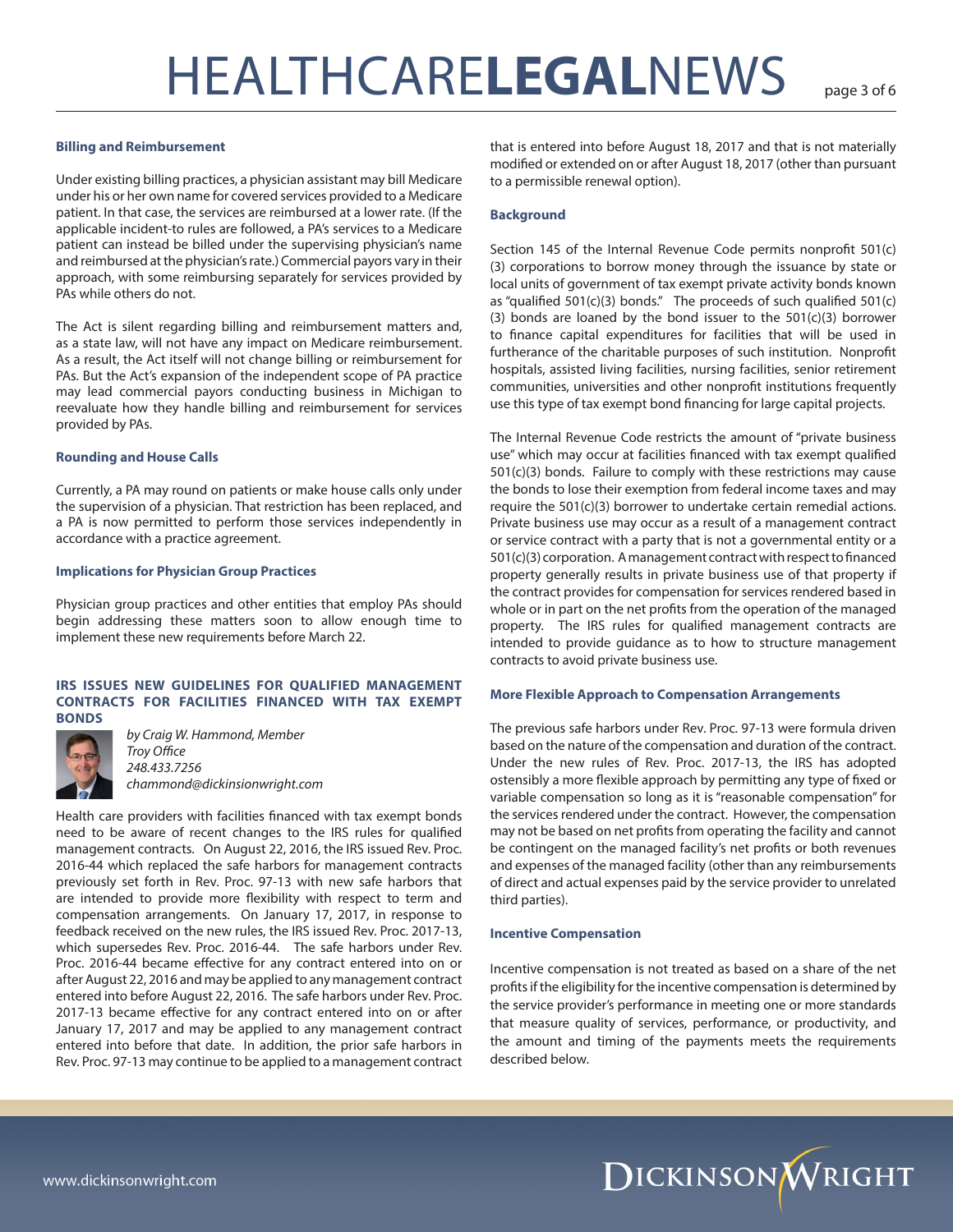# HEALTHCARE**LEGAL**NEWS page 3 of 6

#### **Billing and Reimbursement**

Under existing billing practices, a physician assistant may bill Medicare under his or her own name for covered services provided to a Medicare patient. In that case, the services are reimbursed at a lower rate. (If the applicable incident-to rules are followed, a PA's services to a Medicare patient can instead be billed under the supervising physician's name and reimbursed at the physician's rate.) Commercial payors vary in their approach, with some reimbursing separately for services provided by PAs while others do not.

The Act is silent regarding billing and reimbursement matters and, as a state law, will not have any impact on Medicare reimbursement. As a result, the Act itself will not change billing or reimbursement for PAs. But the Act's expansion of the independent scope of PA practice may lead commercial payors conducting business in Michigan to reevaluate how they handle billing and reimbursement for services provided by PAs.

### **Rounding and House Calls**

Currently, a PA may round on patients or make house calls only under the supervision of a physician. That restriction has been replaced, and a PA is now permitted to perform those services independently in accordance with a practice agreement.

### **Implications for Physician Group Practices**

Physician group practices and other entities that employ PAs should begin addressing these matters soon to allow enough time to implement these new requirements before March 22.

#### **IRS ISSUES NEW GUIDELINES FOR QUALIFIED MANAGEMENT CONTRACTS FOR FACILITIES FINANCED WITH TAX EXEMPT BONDS**



*by Craig W. Hammond, Member Troy Office 248.433.7256 chammond@dickinsionwright.com*

Health care providers with facilities financed with tax exempt bonds need to be aware of recent changes to the IRS rules for qualified management contracts. On August 22, 2016, the IRS issued Rev. Proc. 2016-44 which replaced the safe harbors for management contracts previously set forth in Rev. Proc. 97-13 with new safe harbors that are intended to provide more flexibility with respect to term and compensation arrangements. On January 17, 2017, in response to feedback received on the new rules, the IRS issued Rev. Proc. 2017-13, which supersedes Rev. Proc. 2016-44. The safe harbors under Rev. Proc. 2016-44 became effective for any contract entered into on or after August 22, 2016 and may be applied to any management contract entered into before August 22, 2016. The safe harbors under Rev. Proc. 2017-13 became effective for any contract entered into on or after January 17, 2017 and may be applied to any management contract entered into before that date. In addition, the prior safe harbors in Rev. Proc. 97-13 may continue to be applied to a management contract that is entered into before August 18, 2017 and that is not materially modified or extended on or after August 18, 2017 (other than pursuant to a permissible renewal option).

#### **Background**

Section 145 of the Internal Revenue Code permits nonprofit 501(c) (3) corporations to borrow money through the issuance by state or local units of government of tax exempt private activity bonds known as "qualified  $501(c)(3)$  bonds." The proceeds of such qualified  $501(c)$ (3) bonds are loaned by the bond issuer to the  $501(c)(3)$  borrower to finance capital expenditures for facilities that will be used in furtherance of the charitable purposes of such institution. Nonprofit hospitals, assisted living facilities, nursing facilities, senior retirement communities, universities and other nonprofit institutions frequently use this type of tax exempt bond financing for large capital projects.

The Internal Revenue Code restricts the amount of "private business use" which may occur at facilities financed with tax exempt qualified  $501(c)(3)$  bonds. Failure to comply with these restrictions may cause the bonds to lose their exemption from federal income taxes and may require the 501(c)(3) borrower to undertake certain remedial actions. Private business use may occur as a result of a management contract or service contract with a party that is not a governmental entity or a 501(c)(3) corporation. A management contract with respect to financed property generally results in private business use of that property if the contract provides for compensation for services rendered based in whole or in part on the net profits from the operation of the managed property. The IRS rules for qualified management contracts are intended to provide guidance as to how to structure management contracts to avoid private business use.

### **More Flexible Approach to Compensation Arrangements**

The previous safe harbors under Rev. Proc. 97-13 were formula driven based on the nature of the compensation and duration of the contract. Under the new rules of Rev. Proc. 2017-13, the IRS has adopted ostensibly a more flexible approach by permitting any type of fixed or variable compensation so long as it is "reasonable compensation" for the services rendered under the contract. However, the compensation may not be based on net profits from operating the facility and cannot be contingent on the managed facility's net profits or both revenues and expenses of the managed facility (other than any reimbursements of direct and actual expenses paid by the service provider to unrelated third parties).

#### **Incentive Compensation**

Incentive compensation is not treated as based on a share of the net profits if the eligibility for the incentive compensation is determined by the service provider's performance in meeting one or more standards that measure quality of services, performance, or productivity, and the amount and timing of the payments meets the requirements described below.

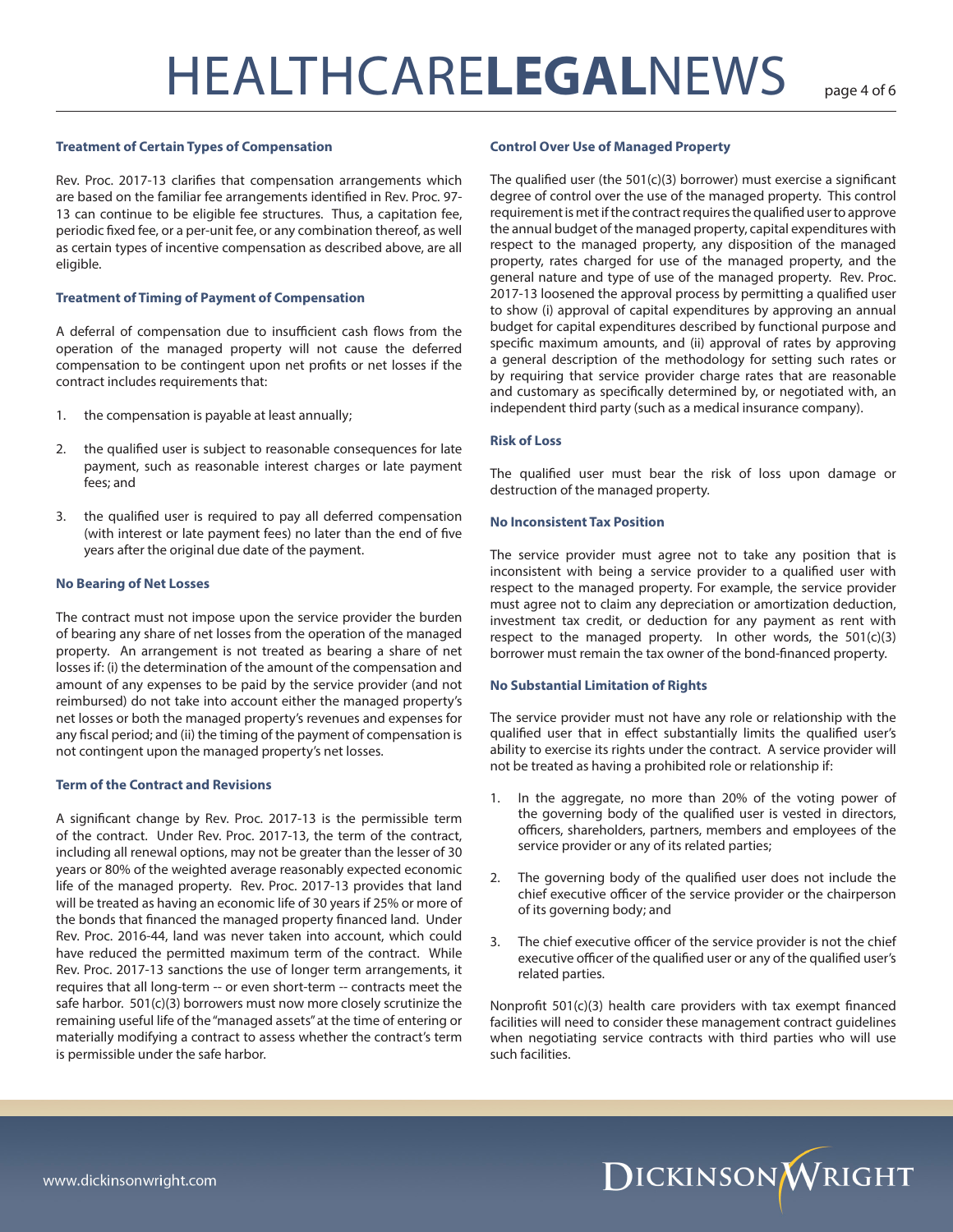# HEALTHCARE**LEGAL**NEWS page 4 of 6

### **Treatment of Certain Types of Compensation**

Rev. Proc. 2017-13 clarifies that compensation arrangements which are based on the familiar fee arrangements identified in Rev. Proc. 97- 13 can continue to be eligible fee structures. Thus, a capitation fee, periodic fixed fee, or a per-unit fee, or any combination thereof, as well as certain types of incentive compensation as described above, are all eligible.

#### **Treatment of Timing of Payment of Compensation**

A deferral of compensation due to insufficient cash flows from the operation of the managed property will not cause the deferred compensation to be contingent upon net profits or net losses if the contract includes requirements that:

- 1. the compensation is payable at least annually;
- 2. the qualified user is subject to reasonable consequences for late payment, such as reasonable interest charges or late payment fees; and
- 3. the qualified user is required to pay all deferred compensation (with interest or late payment fees) no later than the end of five years after the original due date of the payment.

## **No Bearing of Net Losses**

The contract must not impose upon the service provider the burden of bearing any share of net losses from the operation of the managed property. An arrangement is not treated as bearing a share of net losses if: (i) the determination of the amount of the compensation and amount of any expenses to be paid by the service provider (and not reimbursed) do not take into account either the managed property's net losses or both the managed property's revenues and expenses for any fiscal period; and (ii) the timing of the payment of compensation is not contingent upon the managed property's net losses.

## **Term of the Contract and Revisions**

A significant change by Rev. Proc. 2017-13 is the permissible term of the contract. Under Rev. Proc. 2017-13, the term of the contract, including all renewal options, may not be greater than the lesser of 30 years or 80% of the weighted average reasonably expected economic life of the managed property. Rev. Proc. 2017-13 provides that land will be treated as having an economic life of 30 years if 25% or more of the bonds that financed the managed property financed land. Under Rev. Proc. 2016-44, land was never taken into account, which could have reduced the permitted maximum term of the contract. While Rev. Proc. 2017-13 sanctions the use of longer term arrangements, it requires that all long-term -- or even short-term -- contracts meet the safe harbor. 501(c)(3) borrowers must now more closely scrutinize the remaining useful life of the "managed assets" at the time of entering or materially modifying a contract to assess whether the contract's term is permissible under the safe harbor.

## **Control Over Use of Managed Property**

The qualified user (the 501(c)(3) borrower) must exercise a significant degree of control over the use of the managed property. This control requirement is met if the contract requires the qualified user to approve the annual budget of the managed property, capital expenditures with respect to the managed property, any disposition of the managed property, rates charged for use of the managed property, and the general nature and type of use of the managed property. Rev. Proc. 2017-13 loosened the approval process by permitting a qualified user to show (i) approval of capital expenditures by approving an annual budget for capital expenditures described by functional purpose and specific maximum amounts, and (ii) approval of rates by approving a general description of the methodology for setting such rates or by requiring that service provider charge rates that are reasonable and customary as specifically determined by, or negotiated with, an independent third party (such as a medical insurance company).

## **Risk of Loss**

The qualified user must bear the risk of loss upon damage or destruction of the managed property.

### **No Inconsistent Tax Position**

The service provider must agree not to take any position that is inconsistent with being a service provider to a qualified user with respect to the managed property. For example, the service provider must agree not to claim any depreciation or amortization deduction, investment tax credit, or deduction for any payment as rent with respect to the managed property. In other words, the  $501(c)(3)$ borrower must remain the tax owner of the bond-financed property.

### **No Substantial Limitation of Rights**

The service provider must not have any role or relationship with the qualified user that in effect substantially limits the qualified user's ability to exercise its rights under the contract. A service provider will not be treated as having a prohibited role or relationship if:

- 1. In the aggregate, no more than 20% of the voting power of the governing body of the qualified user is vested in directors, officers, shareholders, partners, members and employees of the service provider or any of its related parties;
- 2. The governing body of the qualified user does not include the chief executive officer of the service provider or the chairperson of its governing body; and
- 3. The chief executive officer of the service provider is not the chief executive officer of the qualified user or any of the qualified user's related parties.

Nonprofit 501(c)(3) health care providers with tax exempt financed facilities will need to consider these management contract guidelines when negotiating service contracts with third parties who will use such facilities.

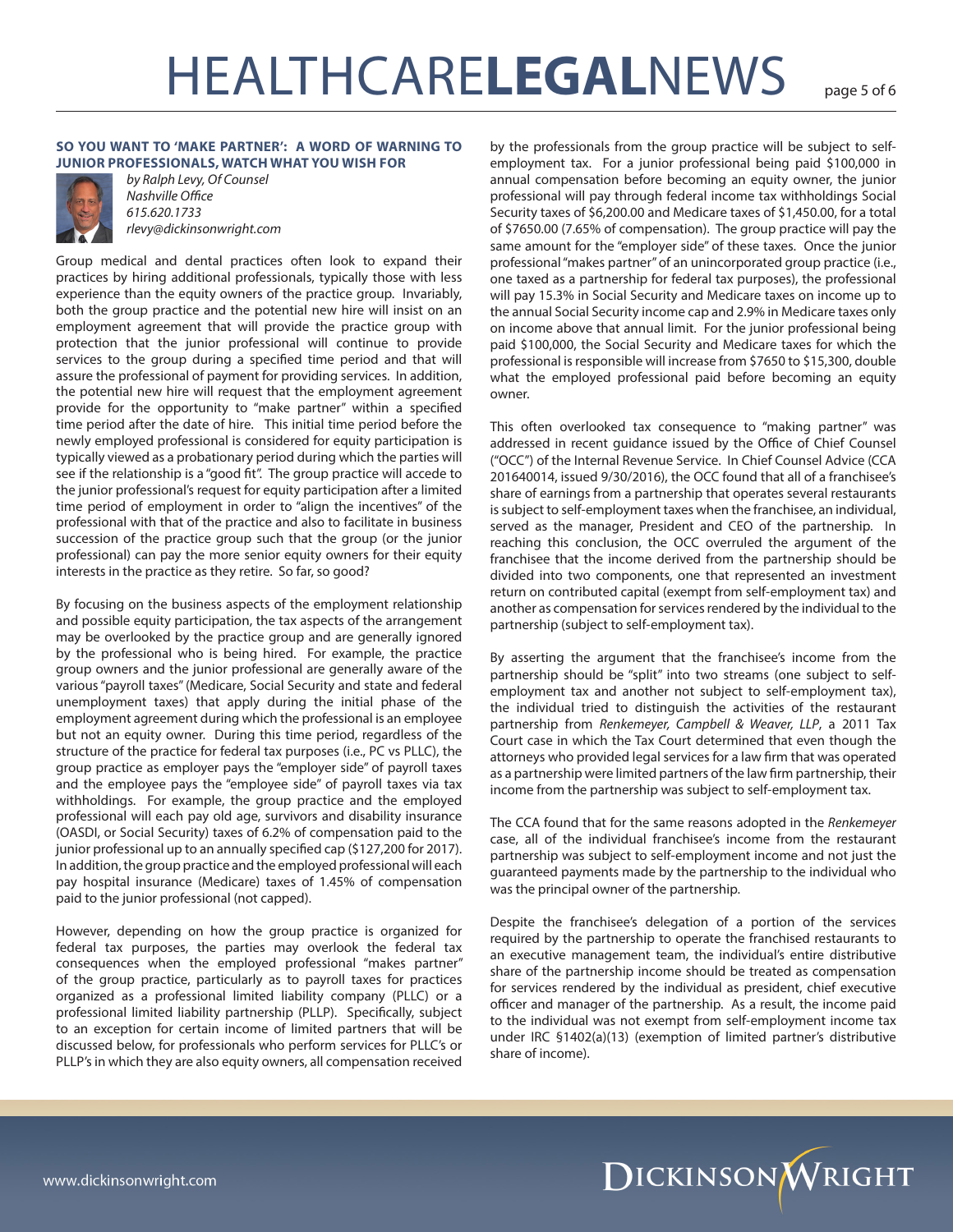# HEALTHCARE**LEGAL**NEWS page 5 of 6

## **SO YOU WANT TO 'MAKE PARTNER': A WORD OF WARNING TO JUNIOR PROFESSIONALS, WATCH WHAT YOU WISH FOR**



*by Ralph Levy, Of Counsel Nashville Office 615.620.1733 rlevy@dickinsonwright.com*

Group medical and dental practices often look to expand their practices by hiring additional professionals, typically those with less experience than the equity owners of the practice group. Invariably, both the group practice and the potential new hire will insist on an employment agreement that will provide the practice group with protection that the junior professional will continue to provide services to the group during a specified time period and that will assure the professional of payment for providing services. In addition, the potential new hire will request that the employment agreement provide for the opportunity to "make partner" within a specified time period after the date of hire. This initial time period before the newly employed professional is considered for equity participation is typically viewed as a probationary period during which the parties will see if the relationship is a "good fit". The group practice will accede to the junior professional's request for equity participation after a limited time period of employment in order to "align the incentives" of the professional with that of the practice and also to facilitate in business succession of the practice group such that the group (or the junior professional) can pay the more senior equity owners for their equity interests in the practice as they retire. So far, so good?

By focusing on the business aspects of the employment relationship and possible equity participation, the tax aspects of the arrangement may be overlooked by the practice group and are generally ignored by the professional who is being hired. For example, the practice group owners and the junior professional are generally aware of the various "payroll taxes" (Medicare, Social Security and state and federal unemployment taxes) that apply during the initial phase of the employment agreement during which the professional is an employee but not an equity owner. During this time period, regardless of the structure of the practice for federal tax purposes (i.e., PC vs PLLC), the group practice as employer pays the "employer side" of payroll taxes and the employee pays the "employee side" of payroll taxes via tax withholdings. For example, the group practice and the employed professional will each pay old age, survivors and disability insurance (OASDI, or Social Security) taxes of 6.2% of compensation paid to the junior professional up to an annually specified cap (\$127,200 for 2017). In addition, the group practice and the employed professional will each pay hospital insurance (Medicare) taxes of 1.45% of compensation paid to the junior professional (not capped).

However, depending on how the group practice is organized for federal tax purposes, the parties may overlook the federal tax consequences when the employed professional "makes partner" of the group practice, particularly as to payroll taxes for practices organized as a professional limited liability company (PLLC) or a professional limited liability partnership (PLLP). Specifically, subject to an exception for certain income of limited partners that will be discussed below, for professionals who perform services for PLLC's or PLLP's in which they are also equity owners, all compensation received

by the professionals from the group practice will be subject to selfemployment tax. For a junior professional being paid \$100,000 in annual compensation before becoming an equity owner, the junior professional will pay through federal income tax withholdings Social Security taxes of \$6,200.00 and Medicare taxes of \$1,450.00, for a total of \$7650.00 (7.65% of compensation). The group practice will pay the same amount for the "employer side" of these taxes. Once the junior professional "makes partner" of an unincorporated group practice (i.e., one taxed as a partnership for federal tax purposes), the professional will pay 15.3% in Social Security and Medicare taxes on income up to the annual Social Security income cap and 2.9% in Medicare taxes only on income above that annual limit. For the junior professional being paid \$100,000, the Social Security and Medicare taxes for which the professional is responsible will increase from \$7650 to \$15,300, double what the employed professional paid before becoming an equity owner.

This often overlooked tax consequence to "making partner" was addressed in recent guidance issued by the Office of Chief Counsel ("OCC") of the Internal Revenue Service. In Chief Counsel Advice (CCA 201640014, issued 9/30/2016), the OCC found that all of a franchisee's share of earnings from a partnership that operates several restaurants is subject to self-employment taxes when the franchisee, an individual, served as the manager, President and CEO of the partnership. In reaching this conclusion, the OCC overruled the argument of the franchisee that the income derived from the partnership should be divided into two components, one that represented an investment return on contributed capital (exempt from self-employment tax) and another as compensation for services rendered by the individual to the partnership (subject to self-employment tax).

By asserting the argument that the franchisee's income from the partnership should be "split" into two streams (one subject to selfemployment tax and another not subject to self-employment tax), the individual tried to distinguish the activities of the restaurant partnership from *Renkemeyer, Campbell & Weaver, LLP*, a 2011 Tax Court case in which the Tax Court determined that even though the attorneys who provided legal services for a law firm that was operated as a partnership were limited partners of the law firm partnership, their income from the partnership was subject to self-employment tax.

The CCA found that for the same reasons adopted in the *Renkemeyer*  case, all of the individual franchisee's income from the restaurant partnership was subject to self-employment income and not just the guaranteed payments made by the partnership to the individual who was the principal owner of the partnership.

Despite the franchisee's delegation of a portion of the services required by the partnership to operate the franchised restaurants to an executive management team, the individual's entire distributive share of the partnership income should be treated as compensation for services rendered by the individual as president, chief executive officer and manager of the partnership. As a result, the income paid to the individual was not exempt from self-employment income tax under IRC §1402(a)(13) (exemption of limited partner's distributive share of income).